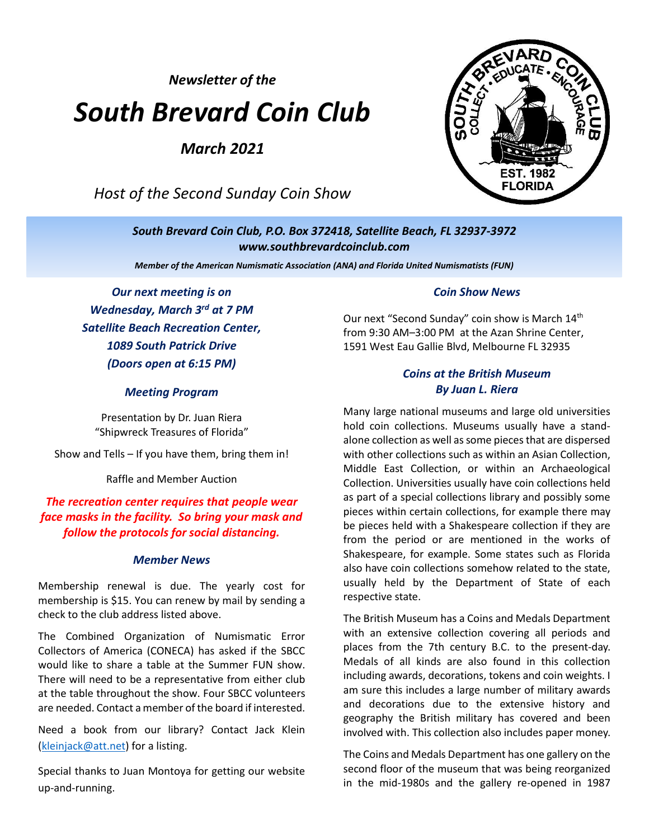*Newsletter of the*

# *South Brevard Coin Club*

*March 2021*

*Host of the Second Sunday Coin Show*



*South Brevard Coin Club, P.O. Box 372418, Satellite Beach, FL 32937-3972 [www.southbrevardcoinclub.com](http://www.southbrevardcoinclub.com/)*

*Member of the American Numismatic Association (ANA) and Florida United Numismatists (FUN)*

*Our next meeting is on Wednesday, March 3 rd at 7 PM Satellite Beach Recreation Center, 1089 South Patrick Drive (Doors open at 6:15 PM)*

#### *Meeting Program*

Presentation by Dr. Juan Riera "Shipwreck Treasures of Florida"

Show and Tells – If you have them, bring them in!

Raffle and Member Auction

#### *The recreation center requires that people wear face masks in the facility. So bring your mask and follow the protocols for social distancing.*

#### *Member News*

Membership renewal is due. The yearly cost for membership is \$15. You can renew by mail by sending a check to the club address listed above.

The Combined Organization of Numismatic Error Collectors of America (CONECA) has asked if the SBCC would like to share a table at the Summer FUN show. There will need to be a representative from either club at the table throughout the show. Four SBCC volunteers are needed. Contact a member of the board if interested.

Need a book from our library? Contact Jack Klein [\(kleinjack@att.net\)](mailto:kleinjack@att.net) for a listing.

Special thanks to Juan Montoya for getting our website up-and-running.

#### *Coin Show News*

Our next "Second Sunday" coin show is March 14th from 9:30 AM–3:00 PM at the Azan Shrine Center, 1591 West Eau Gallie Blvd, Melbourne FL 32935

#### *Coins at the British Museum By Juan L. Riera*

Many large national museums and large old universities hold coin collections. Museums usually have a standalone collection as well as some pieces that are dispersed with other collections such as within an Asian Collection, Middle East Collection, or within an Archaeological Collection. Universities usually have coin collections held as part of a special collections library and possibly some pieces within certain collections, for example there may be pieces held with a Shakespeare collection if they are from the period or are mentioned in the works of Shakespeare, for example. Some states such as Florida also have coin collections somehow related to the state, usually held by the Department of State of each respective state.

The British Museum has a Coins and Medals Department with an extensive collection covering all periods and places from the 7th century B.C. to the present-day. Medals of all kinds are also found in this collection including awards, decorations, tokens and coin weights. I am sure this includes a large number of military awards and decorations due to the extensive history and geography the British military has covered and been involved with. This collection also includes paper money.

The Coins and Medals Department has one gallery on the second floor of the museum that was being reorganized in the mid-1980s and the gallery re-opened in 1987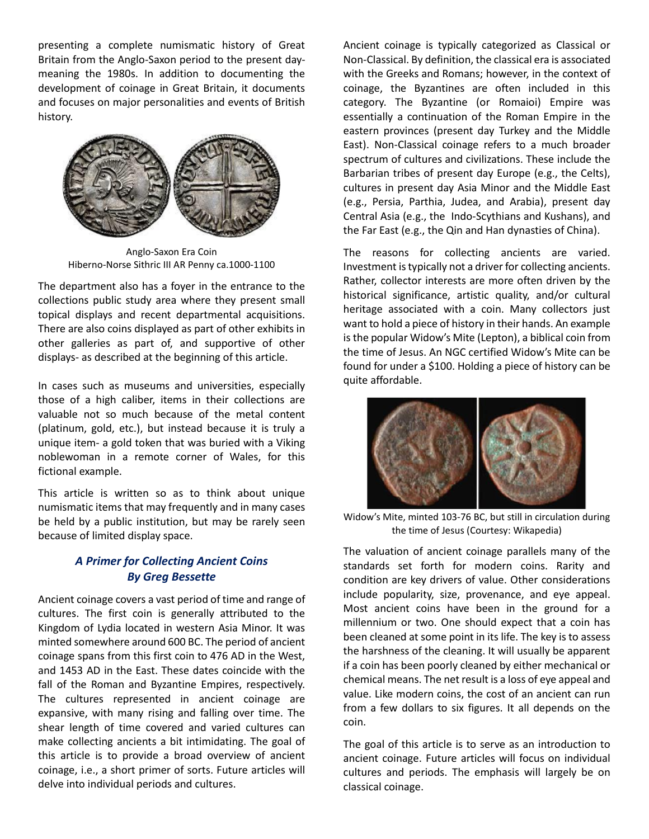presenting a complete numismatic history of Great Britain from the Anglo-Saxon period to the present daymeaning the 1980s. In addition to documenting the development of coinage in Great Britain, it documents and focuses on major personalities and events of British history.



Anglo-Saxon Era Coin Hiberno-Norse Sithric III AR Penny ca.1000-1100

The department also has a foyer in the entrance to the collections public study area where they present small topical displays and recent departmental acquisitions. There are also coins displayed as part of other exhibits in other galleries as part of, and supportive of other displays- as described at the beginning of this article.

In cases such as museums and universities, especially those of a high caliber, items in their collections are valuable not so much because of the metal content (platinum, gold, etc.), but instead because it is truly a unique item- a gold token that was buried with a Viking noblewoman in a remote corner of Wales, for this fictional example.

This article is written so as to think about unique numismatic items that may frequently and in many cases be held by a public institution, but may be rarely seen because of limited display space.

## *A Primer for Collecting Ancient Coins By Greg Bessette*

Ancient coinage covers a vast period of time and range of cultures. The first coin is generally attributed to the Kingdom of Lydia located in western Asia Minor. It was minted somewhere around 600 BC. The period of ancient coinage spans from this first coin to 476 AD in the West, and 1453 AD in the East. These dates coincide with the fall of the Roman and Byzantine Empires, respectively. The cultures represented in ancient coinage are expansive, with many rising and falling over time. The shear length of time covered and varied cultures can make collecting ancients a bit intimidating. The goal of this article is to provide a broad overview of ancient coinage, i.e., a short primer of sorts. Future articles will delve into individual periods and cultures.

Ancient coinage is typically categorized as Classical or Non-Classical. By definition, the classical era is associated with the Greeks and Romans; however, in the context of coinage, the Byzantines are often included in this category. The Byzantine (or Romaioi) Empire was essentially a continuation of the Roman Empire in the eastern provinces (present day Turkey and the Middle East). Non-Classical coinage refers to a much broader spectrum of cultures and civilizations. These include the Barbarian tribes of present day Europe (e.g., the Celts), cultures in present day Asia Minor and the Middle East (e.g., Persia, Parthia, Judea, and Arabia), present day Central Asia (e.g., the Indo-Scythians and Kushans), and the Far East (e.g., the Qin and Han dynasties of China).

The reasons for collecting ancients are varied. Investment is typically not a driver for collecting ancients. Rather, collector interests are more often driven by the historical significance, artistic quality, and/or cultural heritage associated with a coin. Many collectors just want to hold a piece of history in their hands. An example is the popular Widow's Mite (Lepton), a biblical coin from the time of Jesus. An NGC certified Widow's Mite can be found for under a \$100. Holding a piece of history can be quite affordable.



Widow's Mite, minted 103-76 BC, but still in circulation during the time of Jesus (Courtesy: Wikapedia)

The valuation of ancient coinage parallels many of the standards set forth for modern coins. Rarity and condition are key drivers of value. Other considerations include popularity, size, provenance, and eye appeal. Most ancient coins have been in the ground for a millennium or two. One should expect that a coin has been cleaned at some point in its life. The key is to assess the harshness of the cleaning. It will usually be apparent if a coin has been poorly cleaned by either mechanical or chemical means. The net result is a loss of eye appeal and value. Like modern coins, the cost of an ancient can run from a few dollars to six figures. It all depends on the coin.

The goal of this article is to serve as an introduction to ancient coinage. Future articles will focus on individual cultures and periods. The emphasis will largely be on classical coinage.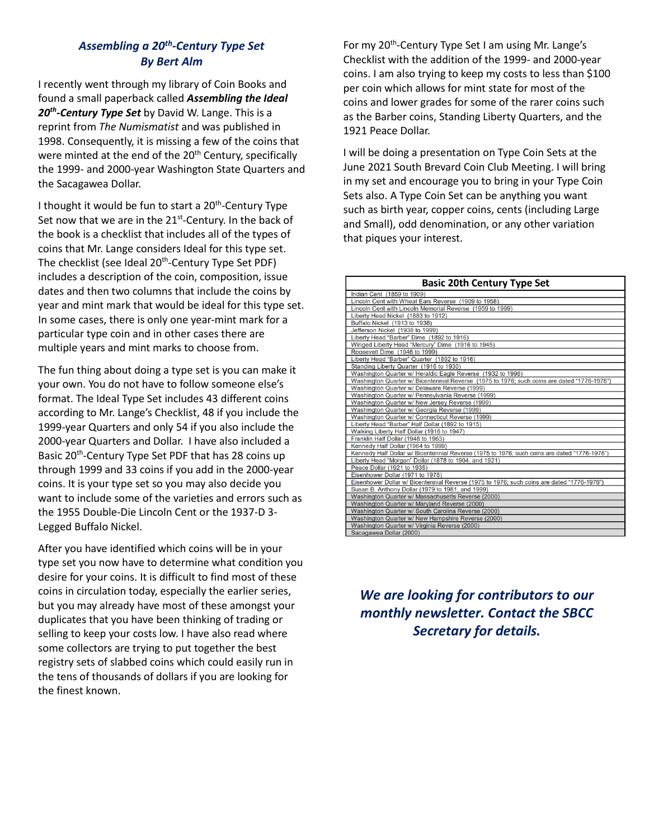## *Assembling a 20th -Century Type Set By Bert Alm*

I recently went through my library of Coin Books and found a small paperback called *Assembling the Ideal 20th -Century Type Set* by David W. Lange. This is a reprint from *The Numismatist* and was published in 1998. Consequently, it is missing a few of the coins that were minted at the end of the 20<sup>th</sup> Century, specifically the 1999- and 2000-year Washington State Quarters and the Sacagawea Dollar.

I thought it would be fun to start a 20<sup>th</sup>-Century Type Set now that we are in the 21<sup>st</sup>-Century. In the back of the book is a checklist that includes all of the types of coins that Mr. Lange considers Ideal for this type set. The checklist (see Ideal 20<sup>th</sup>-Century Type Set PDF) includes a description of the coin, composition, issue dates and then two columns that include the coins by year and mint mark that would be ideal for this type set. In some cases, there is only one year-mint mark for a particular type coin and in other cases there are multiple years and mint marks to choose from.

The fun thing about doing a type set is you can make it your own. You do not have to follow someone else's format. The Ideal Type Set includes 43 different coins according to Mr. Lange's Checklist, 48 if you include the 1999-year Quarters and only 54 if you also include the 2000-year Quarters and Dollar. I have also included a Basic 20<sup>th</sup>-Century Type Set PDF that has 28 coins up through 1999 and 33 coins if you add in the 2000-year coins. It is your type set so you may also decide you want to include some of the varieties and errors such as the 1955 Double-Die Lincoln Cent or the 1937-D 3- Legged Buffalo Nickel.

After you have identified which coins will be in your type set you now have to determine what condition you desire for your coins. It is difficult to find most of these coins in circulation today, especially the earlier series, but you may already have most of these amongst your duplicates that you have been thinking of trading or selling to keep your costs low. I have also read where some collectors are trying to put together the best registry sets of slabbed coins which could easily run in the tens of thousands of dollars if you are looking for the finest known.

For my 20<sup>th</sup>-Century Type Set I am using Mr. Lange's Checklist with the addition of the 1999- and 2000-year coins. I am also trying to keep my costs to less than \$100 per coin which allows for mint state for most of the coins and lower grades for some of the rarer coins such as the Barber coins, Standing Liberty Quarters, and the 1921 Peace Dollar.

I will be doing a presentation on Type Coin Sets at the June 2021 South Brevard Coin Club Meeting. I will bring in my set and encourage you to bring in your Type Coin Sets also. A Type Coin Set can be anything you want such as birth year, copper coins, cents (including Large and Small), odd denomination, or any other variation that piques your interest.

| <b>Basic 20th Century Type Set</b>                                                           |  |  |
|----------------------------------------------------------------------------------------------|--|--|
| Indian Cent (1859 to 1909)                                                                   |  |  |
| Lincoln Cent with Wheat Ears Reverse (1909 to 1958)                                          |  |  |
| Lincoln Cent with Lincoln Memorial Reverse (1959 to 1999)                                    |  |  |
| Liberty Head Nickel (1883 to 1912)                                                           |  |  |
| Buffalo Nickel (1913 to 1938)                                                                |  |  |
| Jefferson Nickel (1938 to 1999)                                                              |  |  |
| Liberty Head "Barber" Dime (1892 to 1916)                                                    |  |  |
| Winged Liberty Head "Mercury" Dime (1916 to 1945)                                            |  |  |
| Roosevelt Dime (1946 to 1999)                                                                |  |  |
| Liberty Head "Barber" Quarter (1892 to 1916)                                                 |  |  |
| Standing Liberty Quarter (1916 to 1930)                                                      |  |  |
| Washington Quarter w/ Heraldic Eagle Reverse (1932 to 1998)                                  |  |  |
| Washington Quarter w/ Bicentennial Reverse (1975 to 1976; such coins are dated "1776-1976")  |  |  |
| Washington Quarter w/ Delaware Reverse (1999)                                                |  |  |
| Washington Quarter w/ Pennsylvania Reverse (1999)                                            |  |  |
| Washington Quarter w/ New Jersey Reverse (1999)                                              |  |  |
| Washington Quarter w/ Georgia Reverse (1999)                                                 |  |  |
| Washington Quarter w/ Connecticut Reverse (1999)                                             |  |  |
| Liberty Head "Barber" Half Dollar (1892 to 1915)                                             |  |  |
| Walking Liberty Half Dollar (1916 to 1947)                                                   |  |  |
| Franklin Half Dollar (1948 to 1963)                                                          |  |  |
| Kennedy Half Dollar (1964 to 1999)                                                           |  |  |
| Kennedy Half Dollar w/ Bicentennial Reverse (1975 to 1976; such coins are dated "1776-1976") |  |  |
| Liberty Head "Morgan" Dollar (1878 to 1904, and 1921)                                        |  |  |
| Peace Dollar (1921 to 1935)                                                                  |  |  |
| Eisenhower Dollar (1971 to 1978)                                                             |  |  |
| Eisenhower Dollar w/ Bicentennial Reverse (1975 to 1976; such coins are dated "1776-1976")   |  |  |
| Susan B. Anthony Dollar (1979 to 1981, and 1999)                                             |  |  |
| Washington Quarter w/ Massachusetts Reverse (2000)                                           |  |  |
| Washington Quarter w/ Maryland Reverse (2000)                                                |  |  |
| Washington Quarter w/ South Carolina Reverse (2000)                                          |  |  |
| Washington Quarter w/ New Hampshire Reverse (2000)                                           |  |  |
| Washington Quarter w/ Virginia Reverse (2000)                                                |  |  |
| Sacagawea Dollar (2000)                                                                      |  |  |

*We are looking for contributors to our monthly newsletter. Contact the SBCC Secretary for details.*